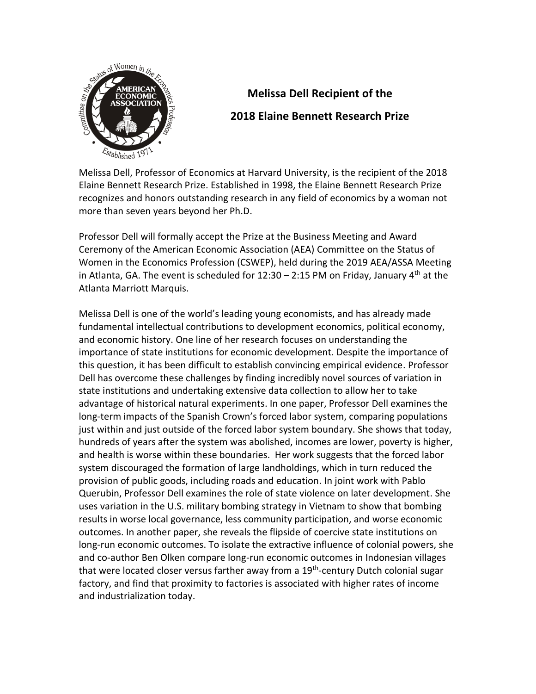

## **Melissa Dell Recipient of the 2018 Elaine Bennett Research Prize**

Melissa Dell, Professor of Economics at Harvard University, is the recipient of the 2018 Elaine Bennett Research Prize. Established in 1998, the Elaine Bennett Research Prize recognizes and honors outstanding research in any field of economics by a woman not more than seven years beyond her Ph.D.

Professor Dell will formally accept the Prize at the Business Meeting and Award Ceremony of the American Economic Association (AEA) Committee on the Status of Women in the Economics Profession (CSWEP), held during the 2019 AEA/ASSA Meeting in Atlanta, GA. The event is scheduled for  $12:30 - 2:15$  PM on Friday, January 4<sup>th</sup> at the Atlanta Marriott Marquis.

Melissa Dell is one of the world's leading young economists, and has already made fundamental intellectual contributions to development economics, political economy, and economic history. One line of her research focuses on understanding the importance of state institutions for economic development. Despite the importance of this question, it has been difficult to establish convincing empirical evidence. Professor Dell has overcome these challenges by finding incredibly novel sources of variation in state institutions and undertaking extensive data collection to allow her to take advantage of historical natural experiments. In one paper, Professor Dell examines the long-term impacts of the Spanish Crown's forced labor system, comparing populations just within and just outside of the forced labor system boundary. She shows that today, hundreds of years after the system was abolished, incomes are lower, poverty is higher, and health is worse within these boundaries. Her work suggests that the forced labor system discouraged the formation of large landholdings, which in turn reduced the provision of public goods, including roads and education. In joint work with Pablo Querubin, Professor Dell examines the role of state violence on later development. She uses variation in the U.S. military bombing strategy in Vietnam to show that bombing results in worse local governance, less community participation, and worse economic outcomes. In another paper, she reveals the flipside of coercive state institutions on long-run economic outcomes. To isolate the extractive influence of colonial powers, she and co-author Ben Olken compare long-run economic outcomes in Indonesian villages that were located closer versus farther away from a 19<sup>th</sup>-century Dutch colonial sugar factory, and find that proximity to factories is associated with higher rates of income and industrialization today.